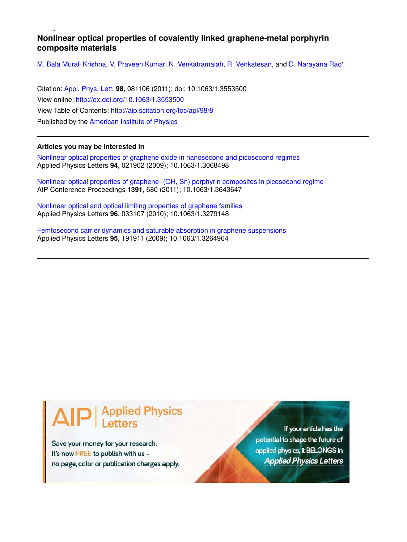## **Nonlinear optical properties of covalently linked graphene-metal porphyrin composite materials**

M. Bala Murali Krishna, V. Praveen Kumar, N. Venkatramaiah, R. Venkatesan, and D. Narayana Rao'

Citation: Appl. Phys. Lett. **98**, 081106 (2011); doi: 10.1063/1.3553500 View online: http://dx.doi.org/10.1063/1.3553500 View Table of Contents: http://aip.scitation.org/toc/apl/98/8 Published by the American Institute of Physics

## **Articles you may be interested in**

Nonlinear optical properties of graphene oxide in nanosecond and picosecond regimes Applied Physics Letters **94**, 021902 (2009); 10.1063/1.3068498

Nonlinear optical properties of graphene- (OH, Sn) porphyrin composites in picosecond regime AIP Conference Proceedings **1391**, 680 (2011); 10.1063/1.3643647

Nonlinear optical and optical limiting properties of graphene families Applied Physics Letters **96**, 033107 (2010); 10.1063/1.3279148

Femtosecond carrier dynamics and saturable absorption in graphene suspensions Applied Physics Letters **95**, 191911 (2009); 10.1063/1.3264964

## **Applied Physics**

Save your money for your research. It's now FREE to publish with us no page, color or publication charges apply.

If your article has the potential to shape the future of applied physics, it BELONGS in **Applied Physics Letters**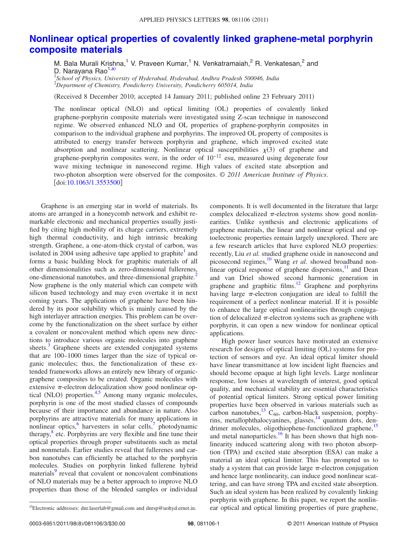## **Nonlinear optical properties of covalently linked graphene-metal porphyrin composite materials**

M. Bala Murali Krishna,<sup>1</sup> V. Praveen Kumar,<sup>1</sup> N. Venkatramaiah,<sup>2</sup> R. Venkatesan,<sup>2</sup> and D. Narayana Rao<sup>1,a</sup>

1 *School of Physics, University of Hyderabad, Hyderabad, Andhra Pradesh 500046, India* <sup>2</sup>*Department of Chemistry, Pondicherry University, Pondicherry 605014, India*

(Received 8 December 2010; accepted 14 January 2011; published online 23 February 2011)

The nonlinear optical (NLO) and optical limiting (OL) properties of covalently linked graphene-porphyrin composite materials were investigated using Z-scan technique in nanosecond regime. We observed enhanced NLO and OL properties of graphene-porphyrin composites in comparison to the individual graphene and porphyrins. The improved OL property of composites is attributed to energy transfer between porphyrin and graphene, which improved excited state absorption and nonlinear scattering. Nonlinear optical susceptibilities  $\chi(3)$  of graphene and graphene-porphyrin composites were, in the order of  $10^{-12}$  esu, measured using degenerate four wave mixing technique in nanosecond regime. High values of excited state absorption and two-photon absorption were observed for the composites. © *2011 American Institute of Physics*. [doi:10.1063/1.3553500]

Graphene is an emerging star in world of materials. Its atoms are arranged in a honeycomb network and exhibit remarkable electronic and mechanical properties usually justified by citing high mobility of its charge carriers, extremely high thermal conductivity, and high intrinsic breaking strength. Graphene, a one-atom-thick crystal of carbon, was isolated in  $2004$  using adhesive tape applied to graphite<sup>1</sup> and forms a basic building block for graphitic materials of all other dimensionalities such as zero-dimensional fullerenes, one-dimensional nanotubes, and three-dimensional graphite.<sup>2</sup> Now graphene is the only material which can compete with silicon based technology and may even overtake it in next coming years. The applications of graphene have been hindered by its poor solubility which is mainly caused by the high interlayer attraction energies. This problem can be overcome by the functionalization on the sheet surface by either a covalent or noncovalent method which opens new directions to introduce various organic molecules into graphene sheets.<sup>3</sup> Graphene sheets are extended conjugated systems that are 100–1000 times larger than the size of typical organic molecules; thus, the functionalization of these extended frameworks allows an entirely new library of organicgraphene composites to be created. Organic molecules with extensive  $\pi$ -electron delocalization show good nonlinear optical (NLO) properties.<sup>4,5</sup> Among many organic molecules, porphyrin is one of the most studied classes of compounds because of their importance and abundance in nature. Also porphyrins are attractive materials for many applications in nonlinear optics,<sup>6</sup> harvesters in solar cells,<sup>7</sup> photodynamic therapy,<sup>8</sup> etc. Porphyrins are very flexible and fine tune their optical properties through proper substituents such as metal and nonmetals. Earlier studies reveal that fullerenes and carbon nanotubes can efficiently be attached to the porphyrin molecules. Studies on porphyrin linked fullerene hybrid materials<sup>9</sup> reveal that covalent or noncovalent combinations of NLO materials may be a better approach to improve NLO properties than those of the blended samples or individual

components. It is well documented in the literature that large complex delocalized  $\pi$ -electron systems show good nonlinearities. Unlike synthesis and electronic applications of graphene materials, the linear and nonlinear optical and optoelectronic properties remain largely unexplored. There are a few research articles that have explored NLO properties: recently, Liu *et al.* studied graphene oxide in nanosecond and picosecond regimes,<sup>10</sup> Wang *et al.* showed broadband nonlinear optical response of graphene dispersions, $\frac{11}{11}$  and Dean and van Driel showed second harmonic generation in graphene and graphitic films.<sup>12</sup> Graphene and porphyrins having large  $\pi$ -electron conjugation are ideal to fulfill the requirement of a perfect nonlinear material. If it is possible to enhance the large optical nonlinearities through conjugation of delocalized  $\pi$ -electron systems such as graphene with porphyrin, it can open a new window for nonlinear optical applications.

High power laser sources have motivated an extensive research for designs of optical limiting (OL) systems for protection of sensors and eye. An ideal optical limiter should have linear transmittance at low incident light fluencies and should become opaque at high light levels. Large nonlinear response, low losses at wavelength of interest, good optical quality, and mechanical stability are essential characteristics of potential optical limiters. Strong optical power limiting properties have been observed in various materials such as carbon nanotubes,<sup>13</sup> C<sub>60</sub>, carbon-black suspension, porphyrins, metallophthalocyanines, glasses,<sup>14</sup> quantum dots, dendrimer molecules, oligothiophene-functionlized graphene,<sup>15</sup> and metal nanoparticles.<sup>16</sup> It has been shown that high nonlinearity induced scattering along with two photon absorption (TPA) and excited state absorption (ESA) can make a material an ideal optical limiter. This has prompted us to study a system that can provide large  $\pi$ -electron conjugation and hence large nonlinearity, can induce good nonlinear scattering, and can have strong TPA and excited state absorption. Such an ideal system has been realized by covalently linking porphyrin with graphene. In this paper, we report the nonlinear optical and optical limiting properties of pure graphene,

a)Electronic addresses: dnr.laserlab@gmail.com and dnrsp@uohyd.ernet.in.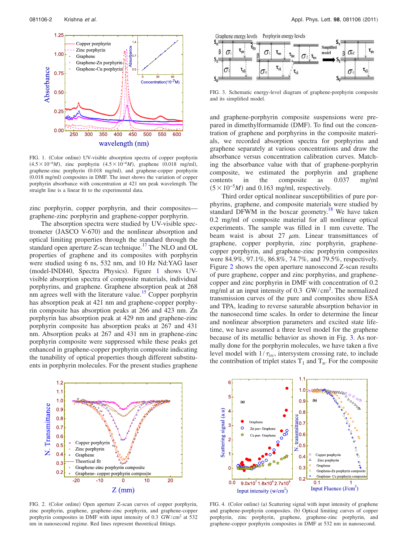

FIG. 1. (Color online) UV-visible absorption spectra of copper porphyrin  $(4.5 \times 10^{-6} M)$ , zinc porphyrin  $(4.5 \times 10^{-6} M)$ , graphene  $(0.018 \text{ mg/ml})$ , graphene-zinc porphyrin (0.018 mg/ml), and graphene-copper porphyrin (0.018 mg/ml) composites in DMF. The inset shows the variation of copper porphyrin absorbance with concentration at 421 nm peak wavelength. The straight line is a linear fit to the experimental data.

zinc porphyrin, copper porphyrin, and their composites graphene-zinc porphyrin and graphene-copper porphyrin.

The absorption spectra were studied by UV-visible spectrometer (JASCO V-670) and the nonlinear absorption and optical limiting properties through the standard through the standard open aperture Z-scan technique.<sup>17</sup> The NLO and OL properties of graphene and its composites with porphyrin were studied using 6 ns, 532 nm, and 10 Hz Nd:YAG laser (model-INDI40, Spectra Physics). Figure 1 shows UVvisible absorption spectra of composite materials, individual porphyrins, and graphene. Graphene absorption peak at 268 nm agrees well with the literature value.<sup>15</sup> Copper porphyrin has absorption peak at 421 nm and graphene-copper porphyrin composite has absorption peaks at 266 and 423 nm. Zn porphyrin has absorption peak at 429 nm and graphene-zinc porphyrin composite has absorption peaks at 267 and 431 nm. Absorption peaks at 267 and 431 nm in graphene-zinc porphyrin composite were suppressed while these peaks get enhanced in graphene-copper porphyrin composite indicating the tunability of optical properties though different substituents in porphyrin molecules. For the present studies graphene



FIG. 3. Schematic energy-level diagram of graphene-porphyrin composite and its simplified model.

and graphene-porphyrin composite suspensions were prepared in dimethylformamide (DMF). To find out the concentration of graphene and porphyrins in the composite materials, we recorded absorption spectra for porphyrins and graphene separately at various concentrations and draw the absorbance versus concentration calibration curves. Matching the absorbance value with that of graphene-porphyrin composite, we estimated the porphyrin and graphene contents in the composite as 0.037 mg/ml  $(5 \times 10^{-5}M)$  and 0.163 mg/ml, respectively.

Third order optical nonlinear susceptibilities of pure porphyrins, graphene, and composite materials were studied by standard DFWM in the boxcar geometry.<sup>18</sup> We have taken 0.2 mg/ml of composite material for all nonlinear optical experiments. The sample was filled in 1 mm cuvette. The beam waist is about 27  $\mu$ m. Linear transmittances of graphene, copper porphyrin, zinc porphyrin, graphenecopper porphyrin, and graphene-zinc porphyrin composites were 84.9%, 97.1%, 86.8%, 74.7%, and 79.5%, respectively. Figure 2 shows the open aperture nanosecond Z-scan results of pure graphene, copper and zinc porphyrins, and graphenecopper and zinc porphyrin in DMF with concentration of 0.2 mg/ml at an input intensity of 0.3 GW/cm<sup>2</sup> . The normalized transmission curves of the pure and composites show ESA and TPA, leading to reverse saturable absorption behavior in the nanosecond time scales. In order to determine the linear and nonlinear absorption parameters and excited state lifetime, we have assumed a three level model for the graphene because of its metallic behavior as shown in Fig. 3. As normally done for the porphyrin molecules, we have taken a five level model with  $1/\tau_{isc}$ , intersystem crossing rate, to include the contribution of triplet states  $T_1$  and  $T_n$ . For the composite



FIG. 2. (Color online) Open aperture Z-scan curves of copper porphyrin, zinc porphyrin, graphene, graphene-zinc porphyrin, and graphene-copper porphyrin composites in DMF with input intensity of 0.3 GW/cm<sup>2</sup> at 532 nm in nanosecond regime. Red lines represent theoretical fittings.



FIG. 4. (Color online) (a) Scattering signal with input intensity of graphene and graphene-porphyrin composites. (b) Optical limiting curves of copper porphyrin, zinc porphyrin, graphene, graphene-zinc porphyrin, and graphene-copper porphyrin composites in DMF at 532 nm in nanosecond.